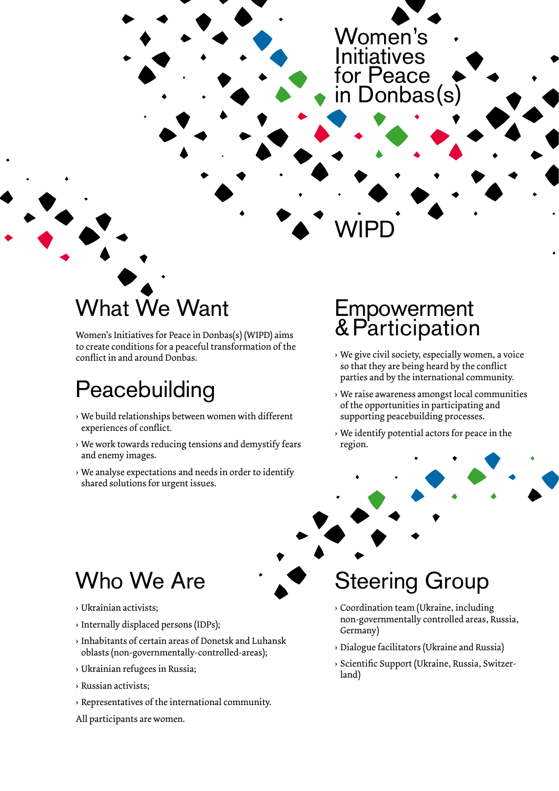#### Women's **Initiatives** for Peace in Donbas(s)

# What We Want

Women's Initiatives for Peace in Donbas(s) (WIPD) aims to create conditions for a peaceful transformation of the conflict in and around Donbas.

# **Peacebuilding**

- › We build relationships between women with different experiences of conflict.
- › We work towards reducing tensions and demystify fears and enemy images.
- › We analyse expectations and needs in order to identify shared solutions for urgent issues.

#### **Empowerment** &Participation

**WIPD** 

- › We give civil society, especially women, a voice so that they are being heard by the conflict parties and by the international community.
- › We raise awareness amongst local communities of the opportunities in participating and supporting peacebuilding processes.
- › We identify potential actors for peace in the region.



## Who We Are

- › Ukrainian activists;
- › Internally displaced persons (IDPs);
- › Inhabitants of certain areas of Donetsk and Luhansk oblasts (non-governmentally-controlled-areas);
- › Ukrainian refugees in Russia;
- › Russian activists;
- › Representatives of the international community.

All participants are women.

Steering Group › Coordination team (Ukraine, including

- non-governmentally controlled areas, Russia, Germany)
- › Dialogue facilitators (Ukraine and Russia)
- › Scientific Support (Ukraine, Russia, Switzerland)